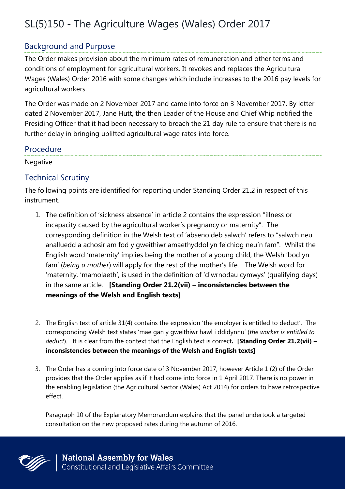# SL(5)150 - The Agriculture Wages (Wales) Order 2017

### Background and Purpose

The Order makes provision about the minimum rates of remuneration and other terms and conditions of employment for agricultural workers. It revokes and replaces the Agricultural Wages (Wales) Order 2016 with some changes which include increases to the 2016 pay levels for agricultural workers.

The Order was made on 2 November 2017 and came into force on 3 November 2017. By letter dated 2 November 2017, Jane Hutt, the then Leader of the House and Chief Whip notified the Presiding Officer that it had been necessary to breach the 21 day rule to ensure that there is no further delay in bringing uplifted agricultural wage rates into force.

#### Procedure

Negative.

### Technical Scrutiny

The following points are identified for reporting under Standing Order 21.2 in respect of this instrument.

- 1. The definition of 'sickness absence' in article 2 contains the expression "illness or incapacity caused by the agricultural worker's pregnancy or maternity". The corresponding definition in the Welsh text of 'absenoldeb salwch' refers to "salwch neu analluedd a achosir am fod y gweithiwr amaethyddol yn feichiog neu'n fam". Whilst the English word 'maternity' implies being the mother of a young child, the Welsh 'bod yn fam' (*being a mother*) will apply for the rest of the mother's life. The Welsh word for 'maternity, 'mamolaeth', is used in the definition of 'diwrnodau cymwys' (qualifying days) in the same article. **[Standing Order 21.2(vii) – inconsistencies between the meanings of the Welsh and English texts]**
- 2. The English text of article 31(4) contains the expression 'the employer is entitled to deduct'. The corresponding Welsh text states 'mae gan y gweithiwr hawl i ddidynnu' (*the worker is entitled to deduct*). It is clear from the context that the English text is correct**. [Standing Order 21.2(vii) – inconsistencies between the meanings of the Welsh and English texts]**
- 3. The Order has a coming into force date of 3 November 2017, however Article 1 (2) of the Order provides that the Order applies as if it had come into force in 1 April 2017. There is no power in the enabling legislation (the Agricultural Sector (Wales) Act 2014) for orders to have retrospective effect.

Paragraph 10 of the Explanatory Memorandum explains that the panel undertook a targeted consultation on the new proposed rates during the autumn of 2016.

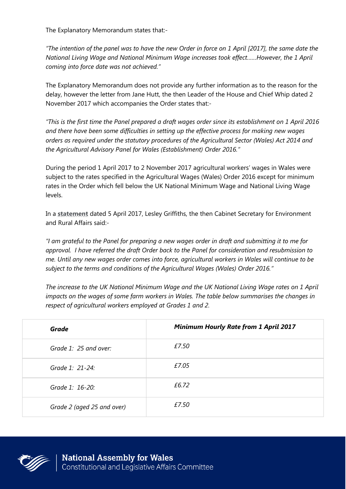The Explanatory Memorandum states that:-

*"The intention of the panel was to have the new Order in force on 1 April [2017], the same date the National Living Wage and National Minimum Wage increases took effect……However, the 1 April coming into force date was not achieved."*

The Explanatory Memorandum does not provide any further information as to the reason for the delay, however the letter from Jane Hutt, the then Leader of the House and Chief Whip dated 2 November 2017 which accompanies the Order states that:-

*"This is the first time the Panel prepared a draft wages order since its establishment on 1 April 2016 and there have been some difficulties in setting up the effective process for making new wages orders as required under the statutory procedures of the Agricultural Sector (Wales) Act 2014 and the Agricultural Advisory Panel for Wales (Establishment) Order 2016."*

During the period 1 April 2017 to 2 November 2017 agricultural workers' wages in Wales were subject to the rates specified in the Agricultural Wages (Wales) Order 2016 except for minimum rates in the Order which fell below the UK National Minimum Wage and National Living Wage levels.

In a **[statement](http://gov.wales/about/cabinet/cabinetstatements/2017/agricultural/?lang=en)** dated 5 April 2017, Lesley Griffiths, the then Cabinet Secretary for Environment and Rural Affairs said:-

*"I am grateful to the Panel for preparing a new wages order in draft and submitting it to me for approval. I have referred the draft Order back to the Panel for consideration and resubmission to me. Until any new wages order comes into force, agricultural workers in Wales will continue to be subject to the terms and conditions of the Agricultural Wages (Wales) Order 2016."*

*The increase to the UK National Minimum Wage and the UK National Living Wage rates on 1 April impacts on the wages of some farm workers in Wales. The table below summarises the changes in respect of agricultural workers employed at Grades 1 and 2.*

| Grade                      | <b>Minimum Hourly Rate from 1 April 2017</b> |
|----------------------------|----------------------------------------------|
| Grade 1: 25 and over:      | £7.50                                        |
| Grade 1: 21-24:            | £7.05                                        |
| Grade 1: 16-20:            | £6.72                                        |
| Grade 2 (aged 25 and over) | £7.50                                        |

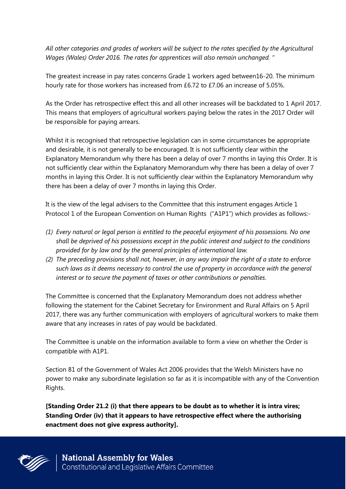*All other categories and grades of workers will be subject to the rates specified by the Agricultural Wages (Wales) Order 2016. The rates for apprentices will also remain unchanged. "*

The greatest increase in pay rates concerns Grade 1 workers aged between16-20. The minimum hourly rate for those workers has increased from £6.72 to £7.06 an increase of 5.05%.

As the Order has retrospective effect this and all other increases will be backdated to 1 April 2017. This means that employers of agricultural workers paying below the rates in the 2017 Order will be responsible for paying arrears.

Whilst it is recognised that retrospective legislation can in some circumstances be appropriate and desirable, it is not generally to be encouraged. It is not sufficiently clear within the Explanatory Memorandum why there has been a delay of over 7 months in laying this Order. It is not sufficiently clear within the Explanatory Memorandum why there has been a delay of over 7 months in laying this Order. It is not sufficiently clear within the Explanatory Memorandum why there has been a delay of over 7 months in laying this Order.

It is the view of the legal advisers to the Committee that this instrument engages Article 1 Protocol 1 of the European Convention on Human Rights ("A1P1") which provides as follows:-

- *(1) Every natural or legal person is entitled to the peaceful enjoyment of his possessions. No one shall be deprived of his possessions except in the public interest and subject to the conditions provided for by law and by the general principles of international law.*
- *(2) The preceding provisions shall not, however, in any way impair the right of a state to enforce such laws as it deems necessary to control the use of property in accordance with the general interest or to secure the payment of taxes or other contributions or penalties.*

The Committee is concerned that the Explanatory Memorandum does not address whether following the statement for the Cabinet Secretary for Environment and Rural Affairs on 5 April 2017, there was any further communication with employers of agricultural workers to make them aware that any increases in rates of pay would be backdated.

The Committee is unable on the information available to form a view on whether the Order is compatible with A1P1.

Section 81 of the Government of Wales Act 2006 provides that the Welsh Ministers have no power to make any subordinate legislation so far as it is incompatible with any of the Convention Rights.

**[Standing Order 21.2 (i) that there appears to be doubt as to whether it is intra vires; Standing Order (iv) that it appears to have retrospective effect where the authorising enactment does not give express authority].**